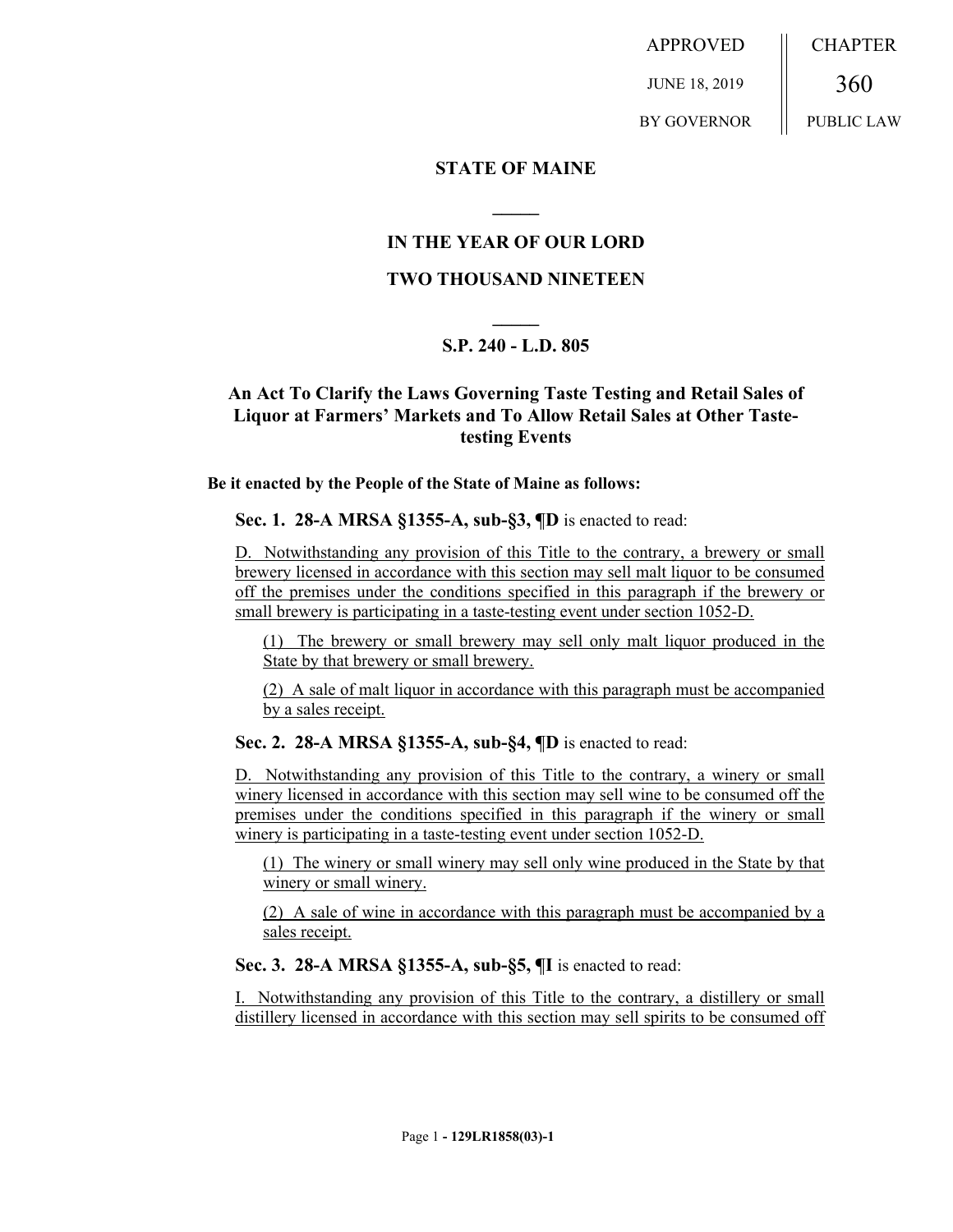APPROVED JUNE 18, 2019 BY GOVERNOR CHAPTER 360 PUBLIC LAW

## **STATE OF MAINE**

# **IN THE YEAR OF OUR LORD**

**\_\_\_\_\_**

### **TWO THOUSAND NINETEEN**

# **\_\_\_\_\_ S.P. 240 - L.D. 805**

# **An Act To Clarify the Laws Governing Taste Testing and Retail Sales of Liquor at Farmers' Markets and To Allow Retail Sales at Other Tastetesting Events**

**Be it enacted by the People of the State of Maine as follows:**

**Sec. 1. 28-A MRSA §1355-A, sub-§3, ¶D** is enacted to read:

D. Notwithstanding any provision of this Title to the contrary, a brewery or small brewery licensed in accordance with this section may sell malt liquor to be consumed off the premises under the conditions specified in this paragraph if the brewery or small brewery is participating in a taste-testing event under section 1052-D.

(1) The brewery or small brewery may sell only malt liquor produced in the State by that brewery or small brewery.

(2) A sale of malt liquor in accordance with this paragraph must be accompanied by a sales receipt.

**Sec. 2. 28-A MRSA §1355-A, sub-§4, ¶D** is enacted to read:

D. Notwithstanding any provision of this Title to the contrary, a winery or small winery licensed in accordance with this section may sell wine to be consumed off the premises under the conditions specified in this paragraph if the winery or small winery is participating in a taste-testing event under section 1052-D.

(1) The winery or small winery may sell only wine produced in the State by that winery or small winery.

(2) A sale of wine in accordance with this paragraph must be accompanied by a sales receipt.

### **Sec. 3. 28-A MRSA §1355-A, sub-§5, ¶I** is enacted to read:

I. Notwithstanding any provision of this Title to the contrary, a distillery or small distillery licensed in accordance with this section may sell spirits to be consumed off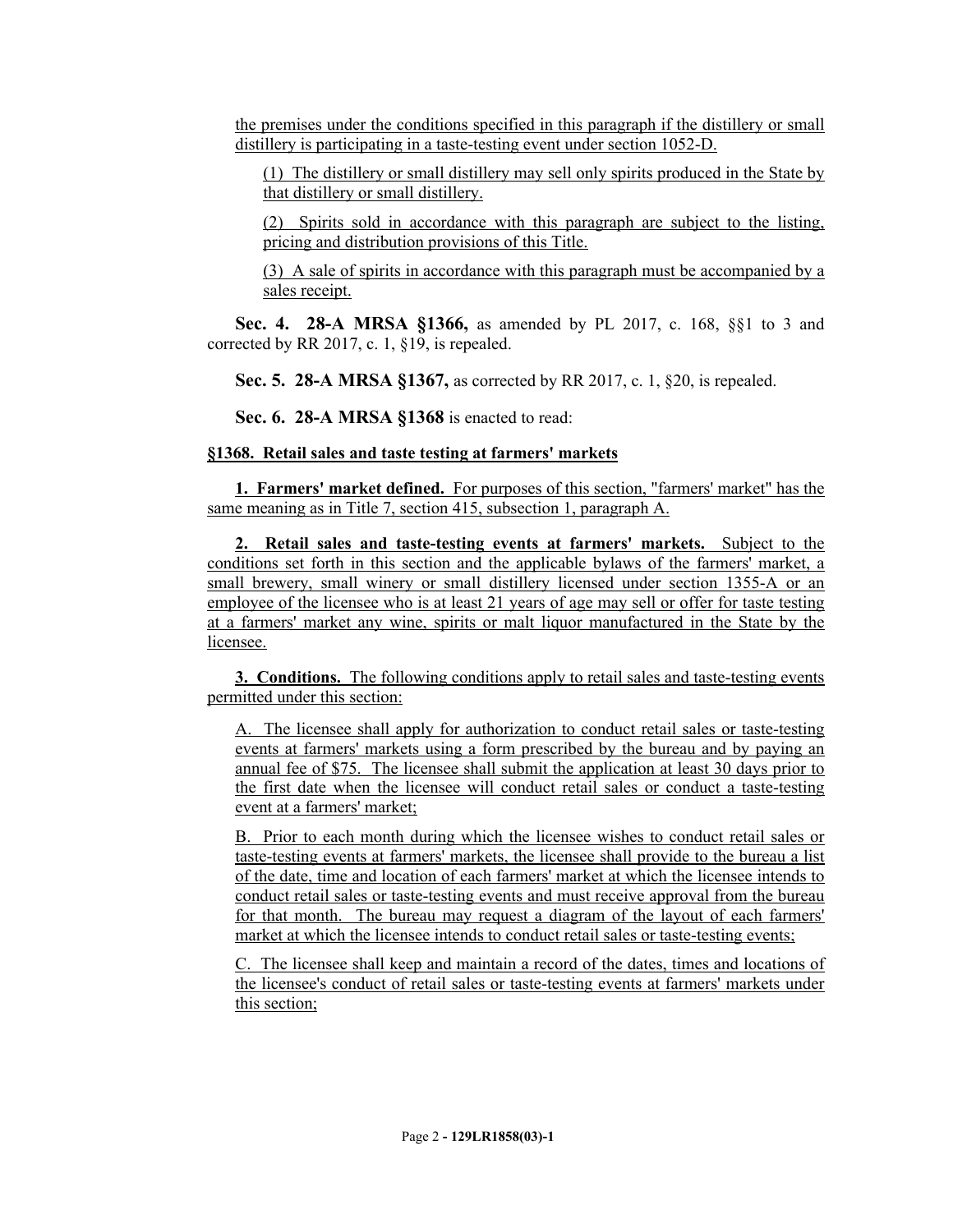the premises under the conditions specified in this paragraph if the distillery or small distillery is participating in a taste-testing event under section 1052-D.

(1) The distillery or small distillery may sell only spirits produced in the State by that distillery or small distillery.

(2) Spirits sold in accordance with this paragraph are subject to the listing, pricing and distribution provisions of this Title.

(3) A sale of spirits in accordance with this paragraph must be accompanied by a sales receipt.

**Sec. 4. 28-A MRSA §1366,** as amended by PL 2017, c. 168, §§1 to 3 and corrected by RR 2017, c. 1, §19, is repealed.

**Sec. 5. 28-A MRSA §1367,** as corrected by RR 2017, c. 1, §20, is repealed.

**Sec. 6. 28-A MRSA §1368** is enacted to read:

### **§1368. Retail sales and taste testing at farmers' markets**

**1. Farmers' market defined.** For purposes of this section, "farmers' market" has the same meaning as in Title 7, section 415, subsection 1, paragraph A.

**2. Retail sales and taste-testing events at farmers' markets.** Subject to the conditions set forth in this section and the applicable bylaws of the farmers' market, a small brewery, small winery or small distillery licensed under section 1355-A or an employee of the licensee who is at least 21 years of age may sell or offer for taste testing at a farmers' market any wine, spirits or malt liquor manufactured in the State by the licensee.

**3. Conditions.** The following conditions apply to retail sales and taste-testing events permitted under this section:

A. The licensee shall apply for authorization to conduct retail sales or taste-testing events at farmers' markets using a form prescribed by the bureau and by paying an annual fee of \$75. The licensee shall submit the application at least 30 days prior to the first date when the licensee will conduct retail sales or conduct a taste-testing event at a farmers' market;

B. Prior to each month during which the licensee wishes to conduct retail sales or taste-testing events at farmers' markets, the licensee shall provide to the bureau a list of the date, time and location of each farmers' market at which the licensee intends to conduct retail sales or taste-testing events and must receive approval from the bureau for that month. The bureau may request a diagram of the layout of each farmers' market at which the licensee intends to conduct retail sales or taste-testing events;

C. The licensee shall keep and maintain a record of the dates, times and locations of the licensee's conduct of retail sales or taste-testing events at farmers' markets under this section;